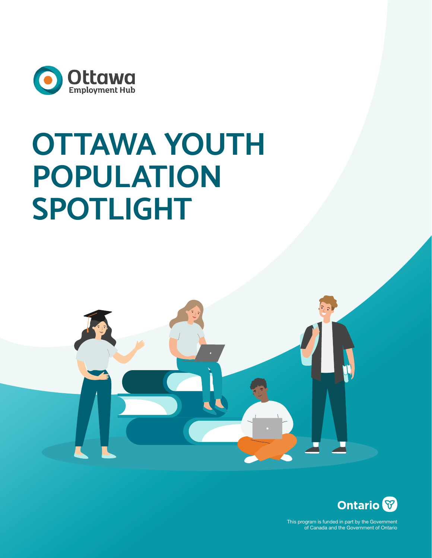

# **OTTAWA YOUTH POPULATION SPOTLIGHT**





This program is funded in part by the Government of Canada and the Government of Ontario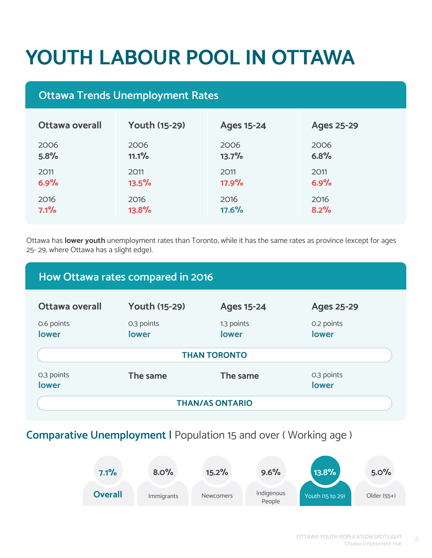# **YOUTH LABOUR POOL IN OTTAWA**

# **Ottawa Trends Unemployment Rates**

| <b>Ottawa overall</b> | <b>Youth (15-29)</b> | <b>Ages 15-24</b> | <b>Ages 25-29</b> |
|-----------------------|----------------------|-------------------|-------------------|
| 2006                  | 2006                 | 2006              | 2006              |
| 5.8%                  | 11.1%                | 13.7%             | 6.8%              |
| 2011                  | 2011                 | 2011              | 2011              |
| 6.9%                  | 13.5%                | 17.9%             | 6.9%              |
| 2016                  | 2016                 | 2016              | 2016              |
| 7.1%                  | 13.8%                | 17.6%             | 8.2%              |

Ottawa has **lower youth** unemployment rates than Toronto, while it has the same rates as province (except for ages 25- 29, where Ottawa has a slight edge).

| How Ottawa rates compared in 2016 |                      |                     |                     |  |  |
|-----------------------------------|----------------------|---------------------|---------------------|--|--|
| Ottawa overall                    | <b>Youth (15-29)</b> | <b>Ages 15-24</b>   | <b>Ages 25-29</b>   |  |  |
| 0.6 points<br>lower               | 0.3 points<br>lower  | 1.3 points<br>lower | 0.2 points<br>lower |  |  |
| <b>THAN TORONTO</b>               |                      |                     |                     |  |  |
| 0.3 points<br>lower               | The same             | The same            | 0.3 points<br>lower |  |  |
| <b>THAN/AS ONTARIO</b>            |                      |                     |                     |  |  |

# **Comparative Unemployment |** Population 15 and over ( Working age )

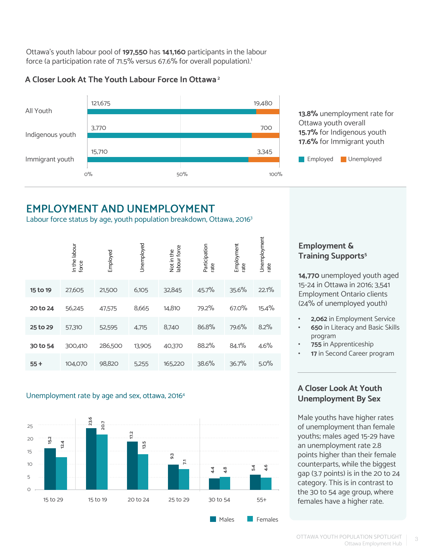Ottawa's youth labour pool of **197,550** has **141,160** participants in the labour force (a participation rate of 71.5% versus 67.6% for overall population).<sup>1</sup>

## **A Closer Look At The Youth Labour Force In Ottawa 2**



**13.8%** unemployment rate for Ottawa youth overall **15.7%** for Indigenous youth **17.6%** for Immigrant youth



# **EMPLOYMENT AND UNEMPLOYMENT**

Labour force status by age, youth population breakdown, Ottawa, 2016<sup>3</sup>

|          | In the labour<br>force | Employed | Unemployed | labour force<br>Not in the | Participation<br>rate | Employment<br>rate | Unemployment<br>rate |
|----------|------------------------|----------|------------|----------------------------|-----------------------|--------------------|----------------------|
| 15 to 19 | 27,605                 | 21,500   | 6,105      | 32,845                     | 45.7%                 | 35.6%              | 22.1%                |
| 20 to 24 | 56,245                 | 47,575   | 8,665      | 14,810                     | 79.2%                 | 67.0%              | 15.4%                |
| 25 to 29 | 57,310                 | 52,595   | 4,715      | 8,740                      | 86.8%                 | 79.6%              | 8.2%                 |
| 30 to 54 | 300,410                | 286,500  | 13,905     | 40,370                     | 88.2%                 | 84.1%              | 4.6%                 |
| $55+$    | 104,070                | 98,820   | 5,255      | 165,220                    | 38.6%                 | 36.7%              | 5.0%                 |

#### Unemployment rate by age and sex, ottawa, 20164



# **Employment & Training Supports<sup>5</sup>**

**14,770** unemployed youth aged 15-24 in Ottawa in 2016; 3,541 Employment Ontario clients (24% of unemployed youth)

- **• 2,062** in Employment Service
- **• 650** in Literacy and Basic Skills program
- **• 755** in Apprenticeship
- **17** in Second Career program

## **A Closer Look At Youth Unemployment By Sex**

Male youths have higher rates of unemployment than female youths; males aged 15-29 have an unemployment rate 2.8 points higher than their female counterparts, while the biggest gap (3.7 points) is in the 20 to 24 category. This is in contrast to the 30 to 54 age group, where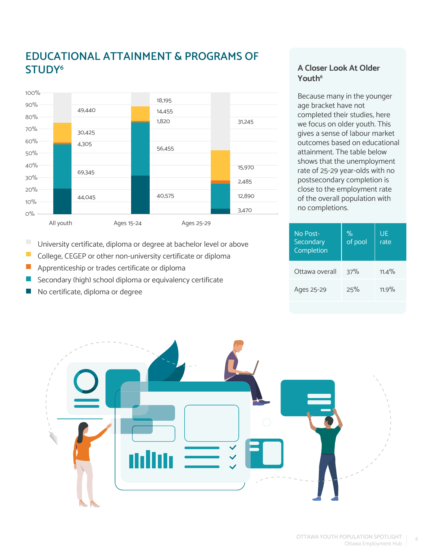# **EDUCATIONAL ATTAINMENT & PROGRAMS OF STUDY6**



University certificate, diploma or degree at bachelor level or above

- $\mathcal{L}_{\mathcal{A}}$ College, CEGEP or other non-university certificate or diploma
- $\overline{\phantom{a}}$ Apprenticeship or trades certificate or diploma
- Secondary (high) school diploma or equivalency certificate
- No certificate, diploma or degreeP.

### **A Closer Look At Older Youth6**

Because many in the younger age bracket have not completed their studies, here we focus on older youth. This gives a sense of labour market outcomes based on educational attainment. The table below shows that the unemployment rate of 25-29 year-olds with no postsecondary completion is close to the employment rate of the overall population with no completions.

| No Post-<br>Secondary<br>Completion | $\%$<br>of pool | UE<br>rate |
|-------------------------------------|-----------------|------------|
| Ottawa overall                      | 37%             | $11.4\%$   |
| Ages 25-29                          | 25%             | 11.9%      |

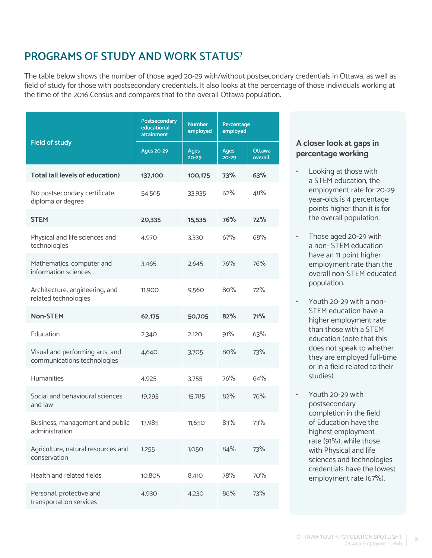# **PROGRAMS OF STUDY AND WORK STATUS7**

The table below shows the number of those aged 20-29 with/without postsecondary credentials in Ottawa, as well as field of study for those with postsecondary credentials. It also looks at the percentage of those individuals working at the time of the 2016 Census and compares that to the overall Ottawa population.

|                                                                | Postsecondary<br>educational<br><b>attainment</b> | <b>Number</b><br>Percentage<br>employed<br>employed |                          |                          |
|----------------------------------------------------------------|---------------------------------------------------|-----------------------------------------------------|--------------------------|--------------------------|
| <b>Field of study</b>                                          | Ages 20-29                                        | <b>Ages</b><br>20-29                                | <b>Ages</b><br>$20 - 29$ | <b>Ottawa</b><br>overall |
| <b>Total (all levels of education)</b>                         | 137,100                                           | 100,175                                             | 73%                      | 63%                      |
| No postsecondary certificate,<br>diploma or degree             | 54,565                                            | 33,935                                              | 62%                      | 48%                      |
| <b>STEM</b>                                                    | 20,335                                            | 15,535                                              | 76%                      | 72%                      |
| Physical and life sciences and<br>technologies                 | 4,970                                             | 3.330                                               | 67%                      | 68%                      |
| Mathematics, computer and<br>information sciences              | 3.465                                             | 2,645                                               | 76%                      | 76%                      |
| Architecture, engineering, and<br>related technologies         | 11,900                                            | 9.560                                               | 80%                      | 72%                      |
| <b>Non-STEM</b>                                                | 62,175                                            | 50,705                                              | 82%                      | 71%                      |
| Education                                                      | 2,340                                             | 2,120                                               | 91%                      | 63%                      |
| Visual and performing arts, and<br>communications technologies | 4,640                                             | 3.705                                               | 80%                      | 73%                      |
| <b>Humanities</b>                                              | 4,925                                             | 3.755                                               | 76%                      | 64%                      |
| Social and behavioural sciences<br>and law                     | 19,295                                            | 15,785                                              | 82%                      | 76%                      |
| Business, management and public<br>administration              | 13,985                                            | 11,650                                              | 83%                      | 73%                      |
| Agriculture, natural resources and<br>conservation             | 1,255                                             | 1,050                                               | 84%                      | 73%                      |
| Health and related fields                                      | 10,805                                            | 8,410                                               | 78%                      | 70%                      |
| Personal, protective and<br>transportation services            | 4,930                                             | 4,230                                               | 86%                      | 73%                      |

### **A closer look at gaps in percentage working**

- Looking at those with a STEM education, the employment rate for 20-29 year-olds is 4 percentage points higher than it is for the overall population.
- Those aged 20-29 with a non- STEM education have an 11 point higher employment rate than the overall non-STEM educated population.
- Youth 20-29 with a non-STEM education have a higher employment rate than those with a STEM education (note that this does not speak to whether they are employed full-time or in a field related to their studies).
- Youth 20-29 with postsecondary completion in the field of Education have the highest employment rate (91%), while those with Physical and life sciences and technologies credentials have the lowest employment rate (67%).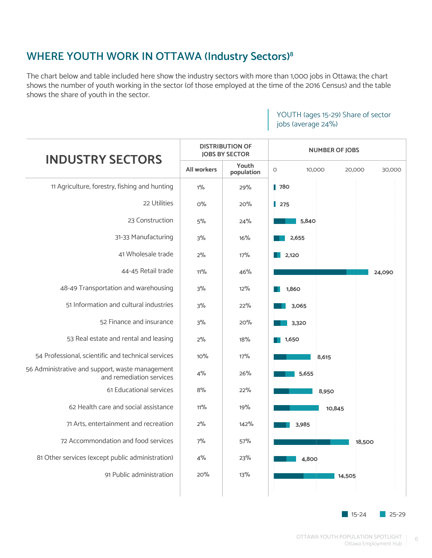# **WHERE YOUTH WORK IN OTTAWA (Industry Sectors)8**

The chart below and table included here show the industry sectors with more than 1,000 jobs in Ottawa; the chart shows the number of youth working in the sector (of those employed at the time of the 2016 Census) and the table shows the share of youth in the sector.

| <b>INDUSTRY SECTORS</b>                                                     |                    | <b>DISTRIBUTION OF</b><br><b>JOBS BY SECTOR</b> | <b>NUMBER OF JOBS</b>                 |
|-----------------------------------------------------------------------------|--------------------|-------------------------------------------------|---------------------------------------|
|                                                                             | <b>All workers</b> | Youth<br>population                             | $\circ$<br>10,000<br>20,000<br>30,000 |
| 11 Agriculture, forestry, fishing and hunting                               | $1\%$              | 29%                                             | $\blacksquare$ 780                    |
| 22 Utilities                                                                | $O\%$              | 20%                                             | $\parallel$ 275                       |
| 23 Construction                                                             | 5%                 | 24%                                             | 5,840                                 |
| 31-33 Manufacturing                                                         | 3%                 | 16%                                             | 2,655                                 |
| 41 Wholesale trade                                                          | 2%                 | 17%                                             | 2,120                                 |
| 44-45 Retail trade                                                          | $11\%$             | 46%                                             | 24,090                                |
| 48-49 Transportation and warehousing                                        | 3%                 | 12%                                             | 1,860                                 |
| 51 Information and cultural industries                                      | 3%                 | 22%                                             | 3,065                                 |
| 52 Finance and insurance                                                    | 3%                 | 20%                                             | 3,320                                 |
| 53 Real estate and rental and leasing                                       | 2%                 | 18%                                             | 1,650                                 |
| 54 Professional, scientific and technical services                          | 10%                | 17%                                             | 8,615                                 |
| 56 Administrative and support, waste management<br>and remediation services | 4%                 | 26%                                             | 5,655                                 |
| 61 Educational services                                                     | 8%                 | 22%                                             | 8,950                                 |
| 62 Health care and social assistance                                        | 11%                | 19%                                             | 10,845                                |
| 71 Arts, entertainment and recreation                                       | 2%                 | 142%                                            | 3,985                                 |
| 72 Accommondation and food services                                         | 7%                 | 57%                                             | 18,500                                |
| 81 Other services (except public administration)                            | 4%                 | 23%                                             | 4,800                                 |
| 91 Public administration                                                    | 20%                | 13%                                             | 14,505                                |

## YOUTH (ages 15-29) Share of sector jobs (average 24%)

15-24 25-29

6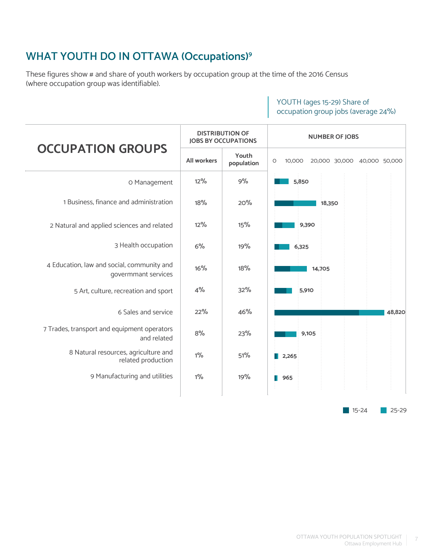# **WHAT YOUTH DO IN OTTAWA (Occupations)9**

These figures show # and share of youth workers by occupation group at the time of the 2016 Census (where occupation group was identifiable).

# YOUTH (ages 15-29) Share of occupation group jobs (average 24%)

|                                                                   | <b>DISTRIBUTION OF</b><br><b>JOBS BY OCCUPATIONS</b> |                     | <b>NUMBER OF JOBS</b>                            |  |
|-------------------------------------------------------------------|------------------------------------------------------|---------------------|--------------------------------------------------|--|
| <b>OCCUPATION GROUPS</b>                                          | <b>All workers</b>                                   | Youth<br>population | $\circ$<br>10,000<br>20,000 30,000 40,000 50,000 |  |
| O Management                                                      | 12%                                                  | 9%                  | 5,850                                            |  |
| 1 Business, finance and administration                            | 18%                                                  | 20%                 | 18,350                                           |  |
| 2 Natural and applied sciences and related                        | 12%                                                  | 15%                 | 9,390                                            |  |
| 3 Health occupation                                               | 6%                                                   | 19%                 | 6,325                                            |  |
| 4 Education, law and social, community and<br>govermmant services | 16%                                                  | 18%                 | 14,705                                           |  |
| 5 Art, culture, recreation and sport                              | 4%                                                   | 32%                 | 5,910                                            |  |
| 6 Sales and service                                               | 22%                                                  | 46%                 | 48,820                                           |  |
| 7 Trades, transport and equipment operators<br>and related        | 8%                                                   | 23%                 | 9,105                                            |  |
| 8 Natural resources, agriculture and<br>related production        | $1\%$                                                | 51%                 | 2,265<br>ш                                       |  |
| 9 Manufacturing and utilities                                     | $1\%$                                                | 19%                 | 965                                              |  |
|                                                                   |                                                      |                     | $15 - 24$<br>$25 - 29$                           |  |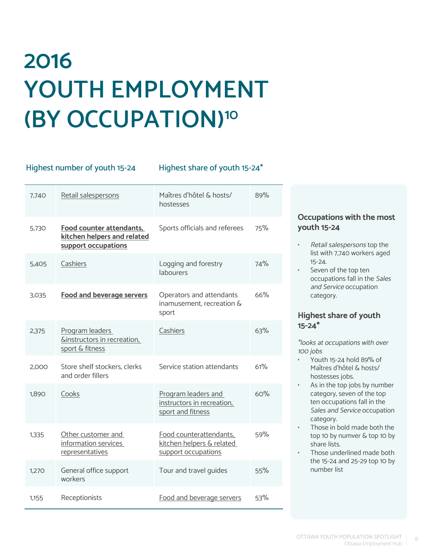# **2016 YOUTH EMPLOYMENT (BY OCCUPATION)10**

#### Highest number of youth 15-24 Highest share of youth 15-24\*

| 7,740 | Retail salespersons                                                            | Maîtres d'hôtel & hosts/<br>hostesses                                       | 89% |
|-------|--------------------------------------------------------------------------------|-----------------------------------------------------------------------------|-----|
| 5,730 | Food counter attendants,<br>kitchen helpers and related<br>support occupations | Sports officials and referees                                               | 75% |
| 5.405 | Cashiers                                                                       | Logging and forestry<br>labourers                                           | 74% |
| 3.035 | <b>Food and beverage servers</b>                                               | Operators and attendants<br>inamusement, recreation &<br>sport              | 66% |
| 2,375 | Program leaders<br><b>Ginstructors in recreation,</b><br>sport & fitness       | Cashiers                                                                    | 63% |
| 2,000 | Store shelf stockers, clerks<br>and order fillers                              | Service station attendants                                                  | 61% |
| 1,890 | Cooks                                                                          | Program leaders and<br>instructors in recreation,<br>sport and fitness      | 60% |
| 1.335 | Other customer and<br>information services<br>representatives                  | Food counterattendants,<br>kitchen helpers & related<br>support occupations | 59% |
| 1,270 | General office support<br>workers                                              | Tour and travel guides                                                      | 55% |
| 1,155 | Receptionists                                                                  | Food and beverage servers                                                   | 53% |

### **Occupations with the most youth 15-24**

- Retail salespersons top the list with 7,740 workers aged 15-24.
- Seven of the top ten occupations fall in the Sales and Service occupation category.

#### **Highest share of youth 15-24\***

\*looks at occupations with over 100 jobs

- Youth 15-24 hold 89% of Maîtres d'hôtel & hosts/ hostesses jobs.
- As in the top jobs by number category, seven of the top ten occupations fall in the Sales and Service occupation category.
- Those in bold made both the top 10 by numver & top 10 by share lists.
- Those underlined made both the 15-24 and 25-29 top 10 by number list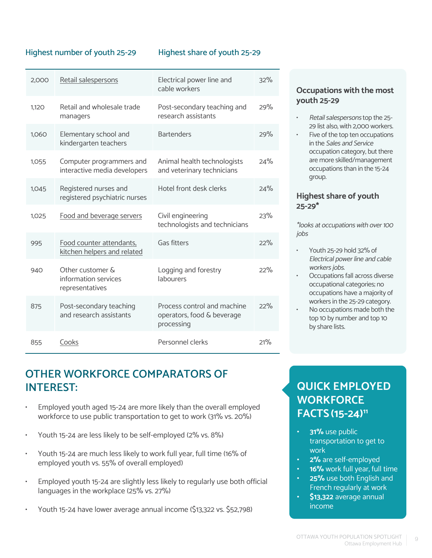#### Highest number of youth 25-29 Highest share of youth 25-29

| 2,000 | Retail salespersons                                         | Electrical power line and<br>cable workers                              | 32% |
|-------|-------------------------------------------------------------|-------------------------------------------------------------------------|-----|
| 1,120 | Retail and wholesale trade<br>managers                      | Post-secondary teaching and<br>research assistants                      | 29% |
| 1,060 | Elementary school and<br>kindergarten teachers              | <b>Bartenders</b>                                                       | 29% |
| 1,055 | Computer programmers and<br>interactive media developers    | Animal health technologists<br>and veterinary technicians               | 24% |
| 1,045 | Registered nurses and<br>registered psychiatric nurses      | Hotel front desk clerks                                                 | 24% |
| 1,025 | Food and beverage servers                                   | Civil engineering<br>technologists and technicians                      | 23% |
| 995   | Food counter attendants,<br>kitchen helpers and related     | Gas fitters                                                             | 22% |
| 940   | Other customer &<br>information services<br>representatives | Logging and forestry<br>labourers                                       | 22% |
| 875   | Post-secondary teaching<br>and research assistants          | Process control and machine<br>operators, food & beverage<br>processing | 22% |
| 855   | Cooks                                                       | Personnel clerks                                                        | 21% |

# **OTHER WORKFORCE COMPARATORS OF INTEREST:**

- Employed youth aged 15-24 are more likely than the overall employed workforce to use public transportation to get to work (31% vs. 20%)
- Youth 15-24 are less likely to be self-employed (2% vs. 8%)
- Youth 15-24 are much less likely to work full year, full time (16% of employed youth vs. 55% of overall employed)
- Employed youth 15-24 are slightly less likely to regularly use both official languages in the workplace (25% vs. 27%)
- Youth 15-24 have lower average annual income (\$13,322 vs. \$52,798)

#### **Occupations with the most youth 25-29**

- Retail salespersons top the 25- 29 list also, with 2,000 workers.
- Five of the top ten occupations in the Sales and Service occupation category, but there are more skilled/management occupations than in the 15-24 group.

#### **Highest share of youth 25-29\***

\*looks at occupations with over 100 jobs

- Youth 25-29 hold 32% of Electrical power line and cable workers jobs.
- Occupations fall across diverse occupational categories; no occupations have a majority of workers in the 25-29 category.
- No occupations made both the top 10 by number and top 10 by share lists.

# **QUICK EMPLOYED WORKFORCE FACTS(15-24)11**

- **• 31%** use public transportation to get to work
- **• 2%** are self-employed
- **• 16%** work full year, full time
- **• 25%** use both English and French regularly at work
- **• \$13,322** average annual income